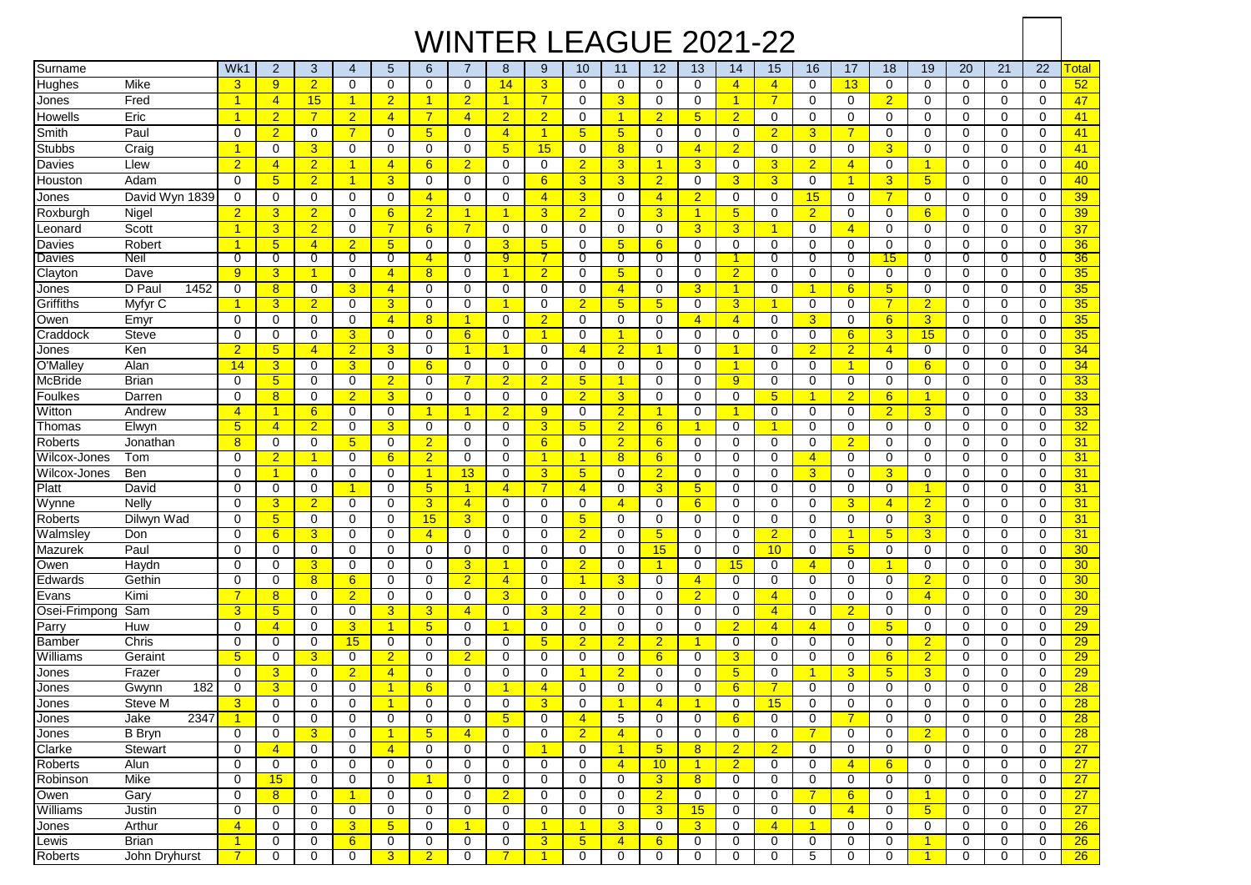## WINTER LEAGUE 2021-22

| Surname           |                | Wk1                  | $\overline{2}$       | 3              | $\overline{4}$       | 5                    | 6                   | $\overline{7}$       | 8              | 9              | 10                   | 11                   | 12             | 13                   | 14             | 15              | 16                   | 17                   | 18               | 19              | 20          | 21          | 22          | <b>Total</b>    |
|-------------------|----------------|----------------------|----------------------|----------------|----------------------|----------------------|---------------------|----------------------|----------------|----------------|----------------------|----------------------|----------------|----------------------|----------------|-----------------|----------------------|----------------------|------------------|-----------------|-------------|-------------|-------------|-----------------|
| Hughes            | Mike           | 3                    | 9                    | $\overline{2}$ | $\mathbf 0$          | $\mathbf 0$          | 0                   | $\mathbf 0$          | 14             | 3              | $\mathbf 0$          | $\mathbf 0$          | $\Omega$       | $\mathbf 0$          | $\overline{4}$ | $\overline{4}$  | $\mathbf 0$          | 13                   | $\Omega$         | $\mathbf 0$     | $\mathbf 0$ | 0           | $\mathbf 0$ | 52              |
| Jones             | Fred           | $\overline{1}$       | $\overline{4}$       | 15             | $\mathbf{1}$         | $\overline{2}$       | 1                   | $\overline{2}$       | $\mathbf{1}$   | $\overline{7}$ | $\mathbf 0$          | 3                    | 0              | $\mathbf 0$          | $\overline{1}$ | $\overline{7}$  | 0                    | $\mathbf 0$          | $\overline{2}$   | $\mathbf 0$     | $\mathbf 0$ | 0           | $\mathbf 0$ | 47              |
| Howells           | Eric           | $\overline{1}$       | $\overline{2}$       | $\overline{7}$ | $\overline{2}$       | $\overline{4}$       | $\overline{7}$      | $\overline{4}$       | $\overline{2}$ | $\overline{2}$ | $\mathbf 0$          | $\overline{1}$       | $\overline{2}$ | $5\overline{)}$      | $\overline{2}$ | 0               | 0                    | $\mathbf 0$          | 0                | $\mathbf 0$     | $\mathbf 0$ | 0           | $\mathbf 0$ | 41              |
| Smith             | Paul           | $\Omega$             | $\overline{2}$       | 0              | $\overline{7}$       | $\Omega$             | 5 <sup>5</sup>      | $\Omega$             | $\overline{4}$ | 4              | $5\overline{)}$      | 5 <sup>5</sup>       | $\Omega$       | 0                    | $\mathbf 0$    | $\overline{2}$  | 3                    | $\overline{7}$       | $\Omega$         | $\Omega$        | 0           | $\Omega$    | $\Omega$    | 41              |
| Stubbs            | Craig          | $\blacktriangleleft$ | 0                    | 3              | 0                    | 0                    | 0                   | $\mathbf 0$          | $\sqrt{5}$     | 15             | 0                    | 8                    | $\Omega$       | $\overline{4}$       | $\overline{2}$ | $\mathbf 0$     | 0                    | $\mathbf 0$          | 3                | 0               | 0           | $\mathbf 0$ | $\mathbf 0$ | 41              |
| Davies            | Llew           | $\overline{2}$       | $\overline{4}$       | $\overline{2}$ | $\mathbf{1}$         | $\overline{4}$       | 6                   | $\overline{2}$       | 0              | 0              | $\overline{2}$       | 3                    | $\overline{1}$ | 3                    | $\mathbf 0$    | 3               | $\overline{2}$       | $\overline{4}$       | $\mathbf 0$      | 1               | 0           | $\mathbf 0$ | $\mathbf 0$ | 40              |
| Houston           | Adam           | $\mathbf 0$          | 5 <sub>5</sub>       | $\overline{2}$ | $\overline{1}$       | 3                    | 0                   | $\mathbf 0$          | $\mathbf 0$    | 6              | $\overline{3}$       | 3                    | $\overline{2}$ | 0                    | $\overline{3}$ | 3 <sup>5</sup>  | 0                    | $\overline{1}$       | 3                | $5\phantom{.0}$ | $\mathbf 0$ | 0           | $\mathbf 0$ | 40              |
| Jones             | David Wyn 1839 | $\mathbf 0$          | 0                    | $\mathbf 0$    | 0                    | 0                    | $\overline{4}$      | $\mathbf 0$          | 0              | $\overline{4}$ | $\overline{3}$       | $\mathbf 0$          | $\overline{4}$ | $\overline{2}$       | $\mathbf 0$    | 0               | 15                   | 0                    | $\overline{7}$   | $\mathbf 0$     | $\mathbf 0$ | 0           | $\mathbf 0$ | 39              |
| Roxburgh          | Nigel          | $\overline{2}$       | 3                    | $\overline{2}$ | 0                    | 6                    | $\overline{2}$      | $\blacktriangleleft$ | $\mathbf{1}$   | 3              | $\overline{2}$       | 0                    | 3              | $\overline{1}$       | 5 <sub>5</sub> | 0               | $\overline{2}$       | $\mathbf 0$          | 0                | 6               | 0           | 0           | $\Omega$    | 39              |
|                   | Scott          | $\overline{1}$       | 3                    | $\overline{2}$ | $\mathbf 0$          | $\overline{7}$       | 6                   | $\overline{7}$       | $\mathbf 0$    | 0              | $\mathbf 0$          | $\mathbf 0$          | $\Omega$       | $\overline{3}$       | $\overline{3}$ | $\mathbf{1}$    | $\Omega$             | $\overline{4}$       | 0                | $\Omega$        | 0           | $\mathbf 0$ | $\mathbf 0$ | 37              |
| _eonard<br>Davies | Robert         | $\mathbf{1}$         | 5 <sup>5</sup>       | $\overline{4}$ | $\overline{2}$       | $5\overline{)}$      | 0                   | 0                    | 3              | 5              | 0                    | 5 <sup>5</sup>       | 6              | 0                    | $\mathbf 0$    | 0               | 0                    | $\mathbf 0$          | $\Omega$         | 0               | 0           | $\Omega$    | 0           | 36              |
| Davies            | Neil           | 0                    | 0                    | 0              | $\overline{0}$       | 0                    | $\ddot{\textbf{4}}$ | 0                    | $\overline{9}$ |                | 0                    | 0                    | 0              | $\overline{0}$       | 1              | 0               | 0                    | $\overline{0}$       | 15               | 0               | 0           | 0           | 0           | 36              |
| Clayton           | Dave           | 9                    | 3                    | -1             | 0                    | $\overline{4}$       | 8                   | $\Omega$             | $\overline{1}$ | $\overline{2}$ | $\mathbf 0$          | 5                    | $\Omega$       | 0                    | $\overline{2}$ | $\mathbf 0$     | 0                    | 0                    | 0                | $\Omega$        | 0           | 0           | 0           | 35              |
| Jones             | D Pau<br>1452  | 0                    | 8                    | $\mathbf 0$    | 3                    | $\overline{4}$       | 0                   | $\Omega$             | $\mathbf 0$    | $\Omega$       | 0                    | $\overline{4}$       | $\Omega$       | 3                    | $\overline{1}$ | 0               | -1                   | 6                    | 5 <sup>5</sup>   | $\mathbf 0$     | $\Omega$    | 0           | 0           | 35              |
| Griffiths         | Myfyr C        | $\mathbf{1}$         | 3                    | $\overline{2}$ | 0                    | 3                    | 0                   | $\Omega$             | $\mathbf 1$    | 0              | $\overline{2}$       | 5 <sup>5</sup>       | 5              | $\mathbf 0$          | $\overline{3}$ | 1               | 0                    | 0                    | 7                | $\overline{2}$  | 0           | 0           | 0           | 35              |
| Owen              | Emyr           | 0                    | 0                    | 0              | 0                    | $\overline{4}$       | 8                   | 1                    | 0              | $\overline{2}$ | 0                    | 0                    | 0              | $\overline{4}$       | $\overline{4}$ | 0               | 3                    | 0                    | $6 \overline{6}$ | 3               | 0           | 0           | 0           | 35              |
| Craddock          | <b>Steve</b>   | 0                    | $\mathbf 0$          | $\mathbf 0$    | 3                    | 0                    | $\mathbf 0$         | 6                    | $\mathbf 0$    | 1              | 0                    | $\mathbf{1}$         | 0              | $\mathbf 0$          | 0              | 0               | 0                    | 6                    | 3 <sup>1</sup>   | 15              | 0           | $\mathbf 0$ | $\mathbf 0$ | 35              |
| Jones             | Ken            | $\overline{2}$       | 5                    | $\overline{4}$ | $\overline{2}$       | 3                    | 0                   | -1                   | 1              | 0              | $\overline{4}$       | $\overline{2}$       | 1              | 0                    | -1             | 0               | $\overline{2}$       | $\overline{2}$       | $\overline{4}$   | $\mathbf 0$     | $\mathbf 0$ | 0           | $\mathbf 0$ | 34              |
| O'Malley          | Alan           | 14                   | 3                    | 0              | 3                    | 0                    | 6                   | $\mathbf 0$          | $\mathbf 0$    | 0              | 0                    | 0                    | 0              | 0                    | $\mathbf{1}$   | 0               | 0                    | $\blacktriangleleft$ | 0                | 6               | 0           | 0           | $\Omega$    | 34              |
| McBride           | Brian          | 0                    | 5 <sub>5</sub>       | 0              | 0                    | $\overline{2}$       | 0                   | $\overline{7}$       | $\overline{2}$ | 2              | $5\overline{)}$      | $\blacktriangleleft$ | $\Omega$       | 0                    | 9              | 0               | 0                    | $\mathbf 0$          | 0                | 0               | 0           | 0           | 0           | 33              |
| Foulkes           | Darren         | $\Omega$             | 8                    | 0              | $\overline{2}$       | 3                    | 0                   | 0                    | 0              | $\Omega$       | $\overline{2}$       | 3                    | $\Omega$       | 0                    | 0              | 5               | 1                    | $\overline{2}$       | 6                | $\overline{1}$  | 0           | $\Omega$    | 0           | 33              |
| Witton            | Andrew         | $\overline{4}$       | $\mathbf{1}$         | 6              | 0                    | 0                    | 1                   | $\blacktriangleleft$ | $\overline{2}$ | 9              | $\mathbf 0$          | $\overline{2}$       | 1              | 0                    | $\overline{1}$ | 0               | 0                    | $\mathbf 0$          | $\overline{2}$   | 3               | 0           | 0           | $\mathbf 0$ | 33              |
| Thomas            | Elwyn          | 5                    | $\overline{4}$       | $\overline{2}$ | 0                    | 3                    | 0                   | 0                    | 0              | 3              | 5 <sub>5</sub>       | $\overline{2}$       | 6              | 1                    | 0              | 1               | 0                    | 0                    | $\Omega$         | 0               | 0           | 0           | 0           | 32              |
| Roberts           | Jonathan       | 8                    | 0                    | $\mathbf 0$    | 5 <sup>5</sup>       | 0                    | $\overline{2}$      | 0                    | 0              | 6              | $\mathbf 0$          | $\overline{2}$       | 6              | $\mathbf 0$          | $\mathbf 0$    | 0               | 0                    | $\overline{2}$       | 0                | 0               | 0           | $\mathbf 0$ | $\mathbf 0$ | 31              |
| Wilcox-Jones      | Tom            | $\mathbf 0$          | $\overline{2}$       | -1             | $\mathbf 0$          | 6                    | $\overline{2}$      | $\mathbf 0$          | $\mathbf 0$    | 1              | $\blacktriangleleft$ | 8 <sup>2</sup>       | 6              | $\mathbf 0$          | $\mathbf 0$    | 0               | $\overline{4}$       | $\mathbf 0$          | $\mathbf 0$      | $\mathbf 0$     | $\mathbf 0$ | $\mathbf 0$ | $\mathbf 0$ | 31              |
| Wilcox-Jones      | Ben            | $\mathbf 0$          | $\blacktriangleleft$ | 0              | $\mathbf 0$          | 0                    | 1                   | 13                   | $\mathbf 0$    | 3              | 5 <sup>5</sup>       | $\mathbf 0$          | $\overline{2}$ | 0                    | $\mathbf 0$    | 0               | 3                    | $\mathbf 0$          | 3                | $\mathbf 0$     | $\mathbf 0$ | 0           | $\Omega$    | 31              |
| Platt             | David          | $\mathbf 0$          | 0                    | 0              | -1                   | 0                    | $5\phantom{.0}$     | 1                    | 4              |                | $\overline{4}$       | $\mathbf 0$          | 3              | 5                    | $\mathbf 0$    | 0               | 0                    | $\mathbf 0$          | 0                | 1               | 0           | 0           | $\mathbf 0$ | 31              |
| Wynne             | Nelly          | $\mathbf 0$          | 3                    | $\overline{2}$ | $\mathbf 0$          | 0                    | 3                   | $\overline{4}$       | $\mathbf 0$    | 0              | 0                    | $\overline{4}$       | 0              | 6                    | $\mathbf 0$    | 0               | 0                    | 3                    | $\overline{4}$   | $\overline{2}$  | $\mathbf 0$ | 0           | $\mathbf 0$ | 31              |
| Roberts           | Dilwyn Wad     | $\Omega$             | $5\phantom{.0}$      | 0              | 0                    | 0                    | 15                  | 3                    | 0              | $\Omega$       | $5\overline{)}$      | $\mathbf 0$          | $\Omega$       | 0                    | 0              | 0               | 0                    | $\mathbf 0$          | 0                | 3               | 0           | 0           | 0           | 31              |
| Walmsley          | Don            | 0                    | $6 \overline{6}$     | 3              | 0                    | 0                    | $\overline{4}$      | 0                    | 0              | $\Omega$       | $\overline{2}$       | 0                    | 5              | 0                    | 0              | $\overline{2}$  | 0                    | 1                    | $\sqrt{5}$       | 3               | 0           | 0           | $\mathbf 0$ | 31              |
| Mazurek           | Paul           | 0                    | 0                    | $\mathbf 0$    | 0                    | 0                    | 0                   | 0                    | 0              | 0              | $\mathbf 0$          | 0                    | 15             | $\mathbf 0$          | $\mathbf 0$    | 10              | 0                    | 5 <sub>5</sub>       | 0                | 0               | 0           | 0           | 0           | 30              |
| Owen              | Haydn          | $\Omega$             | 0                    | 3              | 0                    | $\Omega$             | 0                   | 3                    | $\mathbf 1$    | $\Omega$       | $\overline{2}$       | 0                    | 1              | $\mathbf 0$          | 15             | $\Omega$        | $\overline{4}$       | $\mathbf 0$          |                  | 0               | $\Omega$    | $\Omega$    | $\Omega$    | 30 <sub>o</sub> |
| Edwards           | Gethin         | $\mathbf 0$          | 0                    | 8              | 6                    | 0                    | 0                   | $\overline{2}$       | $\overline{4}$ | 0              | $\blacktriangleleft$ | 3                    | 0              | $\overline{4}$       | $\mathbf 0$    | 0               | 0                    | $\mathbf 0$          | 0                | $\overline{2}$  | $\mathbf 0$ | 0           | $\mathbf 0$ | 30              |
| Evans             | Kimi           | 7                    | 8                    | 0              | $\overline{2}$       | 0                    | 0                   | 0                    | 3              | 0              | 0                    | 0                    | 0              | $\overline{2}$       | 0              | $\overline{4}$  | 0                    | 0                    | 0                | $\overline{4}$  | 0           | 0           | 0           | 30 <sub>o</sub> |
| Osei-Frimpong     | Sam            | 3                    | 5 <sub>5</sub>       | 0              | $\mathbf 0$          | 3                    | 3                   | $\overline{4}$       | $\mathbf 0$    | 3              | $\overline{2}$       | $\mathbf 0$          | 0              | $\mathbf 0$          | 0              | $\overline{4}$  | 0                    | $\overline{2}$       | $\mathbf 0$      | 0               | $\mathbf 0$ | 0           | $\mathbf 0$ | 29              |
| Parry             | Huw            | $\mathbf 0$          | $\overline{4}$       | $\mathbf 0$    | 3                    | $\overline{1}$       | $5\phantom{.0}$     | $\mathbf 0$          | 1              | 0              | 0                    | $\mathbf 0$          | 0              | $\mathbf 0$          | $\overline{2}$ | $\overline{4}$  | 4                    | $\mathbf 0$          | 5                | $\mathbf 0$     | $\mathbf 0$ | 0           | $\Omega$    | 29              |
| Bamber            | Chris          | 0                    | 0                    | 0              | 15                   | 0                    | 0                   | 0                    | 0              | 5              | $\overline{2}$       | $\overline{2}$       | 2              | $\overline{1}$       | 0              | 0               | 0                    | $\mathbf 0$          | $\Omega$         | $\overline{2}$  | 0           | 0           | $\mathbf 0$ | 29              |
| Williams          | Geraint        | 5                    | 0                    | 3              | 0                    | $\overline{2}$       | 0                   | $\overline{2}$       | 0              | $\Omega$       | $\mathbf 0$          | $\mathbf 0$          | 6              | $\mathbf 0$          | $\overline{3}$ | 0               | 0                    | 0                    | 6                | $\overline{2}$  | 0           | 0           | 0           | 29              |
| Jones             | Frazer         | $\Omega$             | 3                    | 0              | $\overline{2}$       | $\overline{4}$       | $\Omega$            | $\Omega$             | $\Omega$       | $\Omega$       | -1                   | $\overline{2}$       | $\Omega$       | $\mathbf 0$          | 5 <sub>5</sub> | 0               | -1                   | 3                    | 5 <sup>5</sup>   | 3               | $\Omega$    | $\Omega$    | $\Omega$    | 29              |
| Jones             | Gwynn<br>182   | 0                    | 3                    | 0              | 0                    | $\blacktriangleleft$ | $6 \overline{6}$    | 0                    | 1              | 4              | $\mathbf 0$          | 0                    | 0              | 0                    | 6              |                 | 0                    | 0                    | 0                | 0               | 0           | 0           | 0           | 28              |
| Jones             | Steve M        | 3                    | 0                    | $\Omega$       | 0                    | 1                    | 0                   | 0                    | 0              | 3              | 0                    | 1                    | 4              | 1                    | 0              | 15 <sub>1</sub> | 0                    | $\mathbf 0$          | 0                | 0               | 0           | 0           | $\Omega$    | 28              |
| Jones             | Jake<br>2347   | $\mathbf{1}$         | 0                    | $\mathbf 0$    | 0                    | 0                    | $\Omega$            | $\Omega$             | 5              | $\Omega$       | $\overline{4}$       | 5                    | 0              | 0                    | 6              | 0               | 0                    | 7                    | $\Omega$         | $\mathbf 0$     | $\Omega$    | 0           | $\Omega$    | $\overline{28}$ |
| Jones             | <b>B</b> Bryn  | 0                    | 0                    | 3              | 0                    | $\mathbf{1}$         | 5 <sub>5</sub>      | $\overline{4}$       | 0              | 0              | $\overline{2}$       | $\overline{4}$       | 0              | 0                    | 0              | 0               | $\overline{7}$       | 0                    | 0                | $\overline{2}$  | 0           | 0           | 0           | 28              |
| Clarke            | Stewart        | $\mathbf 0$          | $\overline{4}$       | 0              | 0                    | $\overline{4}$       | 0                   | 0                    | $\mathbf 0$    | 1              | 0                    | $\mathbf{1}$         | 5              | 8                    | $\overline{2}$ | $\overline{2}$  | 0                    | $\mathbf 0$          | $\mathbf 0$      | 0               | 0           | 0           | $\mathbf 0$ | 27              |
| Roberts           | Alun           | 0                    | 0                    | 0              | 0                    | 0                    | 0                   | 0                    | 0              | 0              | 0                    | $\overline{4}$       | 10             | $\blacktriangleleft$ | $\overline{2}$ | 0               | 0                    | $\overline{4}$       | $6^{\circ}$      | 0               | 0           | 0           | 0           | 27              |
| Robinson          | Mike           | 0                    | 15                   | 0              | 0                    | 0                    | $\mathbf{1}$        | 0                    | 0              | 0              | 0                    | $\mathbf 0$          | $\overline{3}$ | 8                    | 0              | 0               | 0                    | 0                    | 0                | 0               | 0           | 0           | 0           | 27              |
| Owen              | Gary           | 0                    | 8                    | 0              | $\blacktriangleleft$ | 0                    | 0                   | 0                    | $\overline{2}$ | 0              | 0                    | 0                    | $\overline{2}$ | 0                    | 0              | 0               | $\overline{7}$       | 6                    | 0                | $\mathbf{1}$    | 0           | 0           | 0           | 27              |
| Williams          | Justin         | 0                    | 0                    | 0              | 0                    | 0                    | 0                   | 0                    | 0              | 0              | 0                    | 0                    | 3              | 15                   | 0              | 0               | 0                    | $\overline{4}$       | 0                | $5\phantom{.0}$ | 0           | 0           | 0           | 27              |
| Jones             | <b>Arthur</b>  | $\overline{4}$       | 0                    | 0              | 3                    | 5 <sub>5</sub>       | 0                   | $\blacktriangleleft$ | 0              | 1              | $\blacktriangleleft$ | 3                    | 0              | $\overline{3}$       | $\mathbf 0$    | $\overline{4}$  | $\blacktriangleleft$ | 0                    | 0                | 0               | 0           | 0           | 0           | $\overline{26}$ |
| Lewis             | <b>Brian</b>   | $\blacktriangleleft$ | 0                    | 0              | 6                    | 0                    | 0                   | 0                    | $\mathbf 0$    | 3              | 5 <sub>5</sub>       | $\overline{4}$       | 6              | 0                    | $\mathbf 0$    | 0               | 0                    | $\mathbf 0$          | 0                | $\mathbf{1}$    | 0           | $\mathbf 0$ | $\mathbf 0$ | 26              |
| Roberts           | John Dryhurst  | 7 <sup>1</sup>       | 0                    | 0              | 0                    | 3 <sup>1</sup>       | 2 <sup>1</sup>      | $\mathbf 0$          | $\overline{7}$ | $\mathbf{1}$   | 0                    | 0                    | 0              | $\mathbf 0$          | $\mathbf 0$    | 0               | 5                    | $\mathbf 0$          | 0                | $\overline{1}$  | 0           | 0           | 0           | 26              |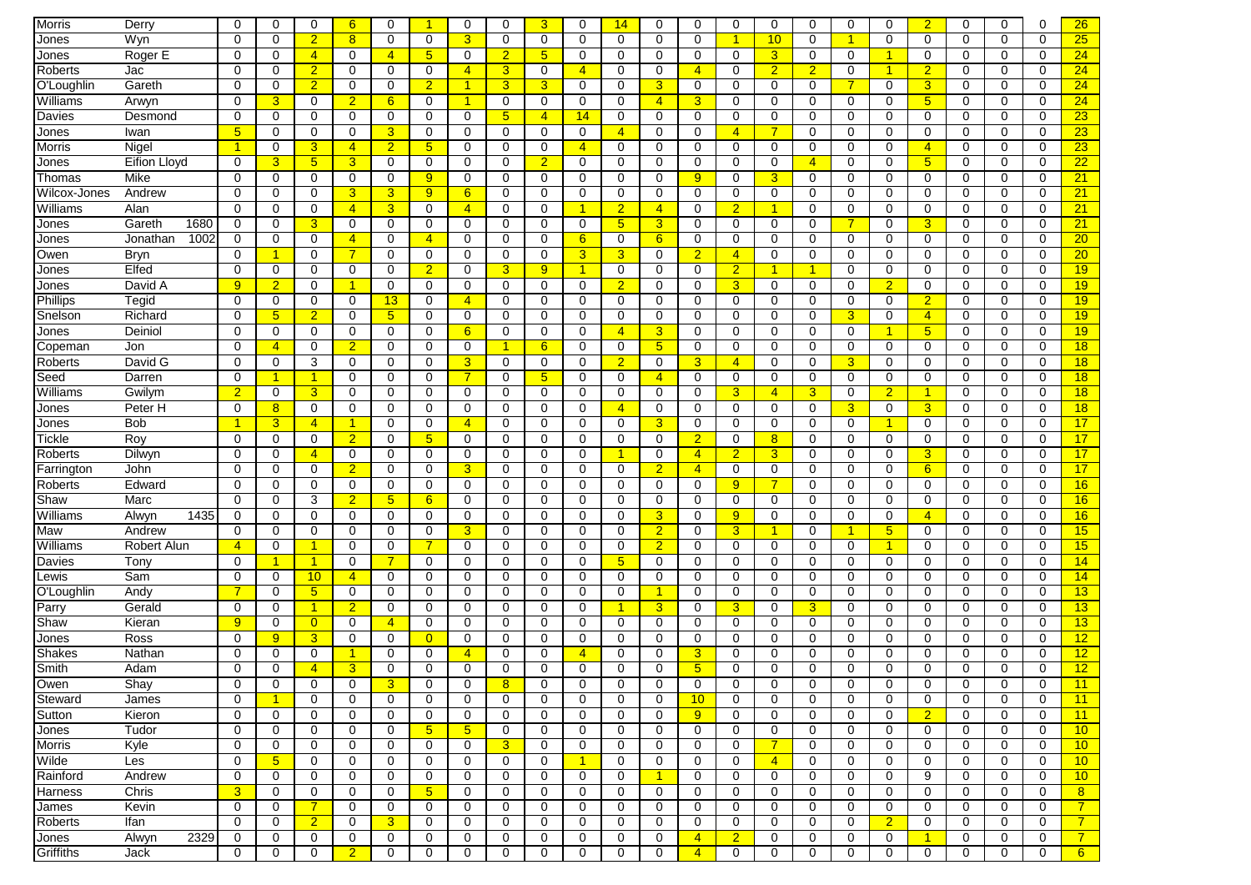| Morris        | Derry               | $\mathbf 0$     | $\Omega$             | $\mathbf 0$     | 6              | $\Omega$        |                | $\mathbf 0$    | $\mathbf 0$     | 3              | $\mathbf 0$          | 14                   | $\Omega$       | $\mathbf 0$    | $\mathbf 0$    | 0              | $\Omega$       | $\mathbf 0$    | $\Omega$             | $\overline{2}$ | $\mathbf 0$ | $\mathbf 0$ | 0           | 26              |
|---------------|---------------------|-----------------|----------------------|-----------------|----------------|-----------------|----------------|----------------|-----------------|----------------|----------------------|----------------------|----------------|----------------|----------------|----------------|----------------|----------------|----------------------|----------------|-------------|-------------|-------------|-----------------|
| Jones         | Wyn                 | $\Omega$        | 0                    | $\overline{2}$  | 8 <sup>2</sup> | $\mathbf 0$     | $\Omega$       | $\overline{3}$ | $\mathbf 0$     | 0              | $\mathbf 0$          | $\mathbf 0$          | $\Omega$       | $\mathbf 0$    | $\overline{1}$ | 10             | 0              | 1              | $\Omega$             | 0              | 0           | 0           | $\mathbf 0$ | 25              |
| Jones         | Roger E             | 0               | $\Omega$             | $\overline{4}$  | $\Omega$       | $\overline{4}$  | 5              | $\mathbf 0$    | $\overline{2}$  | 5              | $\mathbf 0$          | 0                    | 0              | 0              | 0              | 3 <sup>5</sup> | 0              | $\mathbf 0$    | $\blacktriangleleft$ | 0              | 0           | 0           | 0           | 24              |
| Roberts       | Jac                 | $\mathbf 0$     | 0                    | $\overline{2}$  | 0              | 0               | 0              | $\overline{4}$ | 3               | 0              | $\overline{4}$       | 0                    | 0              | $\overline{4}$ | 0              | $\overline{2}$ | $\overline{2}$ | $\mathbf 0$    |                      | $\overline{2}$ | 0           | 0           | $\mathbf 0$ | 24              |
|               |                     |                 |                      |                 |                |                 |                |                |                 |                |                      |                      |                |                |                |                |                |                |                      |                |             |             |             |                 |
| O'Loughlin    | Gareth              | 0               | 0                    | $\overline{2}$  | 0              | 0               | $\overline{2}$ | $\overline{1}$ | 3 <sup>5</sup>  | 3              | 0                    | 0                    | 3              | 0              | $\mathbf 0$    | 0              | 0              | $\overline{7}$ | 0                    | $\overline{3}$ | 0           | 0           | 0           | 24              |
| Williams      | Arwyn               | 0               | 3                    | $\mathbf 0$     | $\overline{2}$ | $6\phantom{1}6$ | 0              | -1             | $\mathbf 0$     | 0              | $\mathbf 0$          | $\mathbf 0$          | $\overline{4}$ | 3              | $\mathbf 0$    | 0              | 0              | $\mathbf 0$    | 0                    | 5              | $\mathbf 0$ | 0           | $\mathbf 0$ | 24              |
| Davies        | Desmond             | 0               | 0                    | 0               | $\mathbf 0$    | 0               | 0              | $\mathbf 0$    | $5\phantom{.0}$ | 4              | 14                   | 0                    | 0              | $\mathbf 0$    | 0              | 0              | 0              | $\mathbf 0$    | 0                    | $\mathbf 0$    | $\mathbf 0$ | $\mathbf 0$ | $\mathbf 0$ | 23              |
| Jones         | Iwan                | $5\phantom{.0}$ | 0                    | $\mathbf 0$     | 0              | 3               | 0              | $\mathbf 0$    | $\mathbf 0$     | 0              | 0                    | $\overline{4}$       | $\Omega$       | 0              | $\overline{4}$ |                | 0              | $\mathbf 0$    | 0                    | 0              | 0           | 0           | 0           | 23              |
| <b>Morris</b> | Nigel               | $\overline{1}$  | 0                    | 3               | $\overline{4}$ | $\overline{2}$  | 5              | $\Omega$       | 0               | 0              | $\overline{4}$       | 0                    | $\Omega$       | $\mathbf 0$    | 0              | 0              | $\Omega$       | 0              | $\Omega$             | $\overline{4}$ | 0           | $\Omega$    | $\Omega$    | 23              |
| Jones         | <b>Eifion Lloyd</b> | 0               | 3                    | $5\phantom{.0}$ | 3              | 0               | 0              | $\mathbf 0$    | 0               | $\overline{2}$ | $\mathbf 0$          | 0                    | 0              | 0              | 0              | 0              | $\overline{4}$ | $\mathbf 0$    | 0                    | 5              | 0           | 0           | 0           | 22              |
| Thomas        | Mike                | $\Omega$        | 0                    | 0               | 0              | 0               | 9              | 0              | 0               | 0              | $\mathbf 0$          | 0                    | $\Omega$       | 9              | 0              | 3              | 0              | 0              | $\Omega$             | 0              | 0           | 0           | $\Omega$    | 21              |
| Wilcox-Jones  | Andrew              | 0               | 0                    | 0               | 3              | 3               | 9 <sup>°</sup> | 6              | 0               | 0              | $\mathbf 0$          | $\mathbf 0$          | 0              | $\mathbf 0$    | $\mathbf 0$    | 0              | $\mathbf 0$    | $\mathbf 0$    | 0                    | $\mathbf 0$    | 0           | $\mathbf 0$ | $\mathbf 0$ | 21              |
| Williams      | Alan                | 0               | 0                    | 0               | $\overline{4}$ | 3               | 0              | $\overline{4}$ | $\mathbf 0$     | 0              | -1                   | $\overline{2}$       | $\overline{4}$ | $\mathbf 0$    | $\overline{2}$ | 1              | 0              | $\mathbf 0$    | 0                    | $\mathbf 0$    | 0           | $\mathbf 0$ | $\mathbf 0$ | 21              |
| Jones         | Gareth<br>1680      | 0               | 0                    | 3               | 0              | $\mathbf 0$     | 0              | $\mathbf 0$    | 0               | 0              | $\mathbf 0$          | 5 <sub>5</sub>       | 3              | $\mathbf 0$    | $\mathbf 0$    | 0              | 0              | $\overline{7}$ | 0                    | 3              | $\mathbf 0$ | $\mathbf 0$ | $\mathbf 0$ | 21              |
| Jones         | 1002<br>Jonathan    | 0               | 0                    | $\mathbf 0$     | $\overline{4}$ | 0               | 4              | 0              | $\mathbf 0$     | 0              | 6                    | 0                    | 6              | $\mathbf 0$    | 0              | 0              | 0              | 0              | 0                    | $\mathbf 0$    | 0           | 0           | $\mathbf 0$ | 20              |
| Owen          | Bryn                | $\mathbf 0$     | $\overline{1}$       | $\mathbf 0$     | $\overline{7}$ | $\mathbf 0$     | $\mathbf 0$    | $\mathbf 0$    | $\mathbf 0$     | $\Omega$       | 3                    | 3 <sup>5</sup>       | $\mathbf 0$    | $\overline{2}$ | $\overline{4}$ | 0              | $\mathbf 0$    | $\mathbf 0$    | 0                    | $\mathbf 0$    | $\mathbf 0$ | $\mathbf 0$ | $\mathbf 0$ | 20              |
| Jones         | Elfed               | 0               | 0                    | 0               | 0              | 0               | $\overline{2}$ | $\mathbf 0$    | 3               | 9              | $\blacktriangleleft$ | 0                    | $\Omega$       | $\mathbf 0$    | $\overline{2}$ |                | -1             | $\mathbf 0$    | 0                    | $\Omega$       | 0           | 0           | 0           | 19              |
| Jones         | David A             | 9               | $\overline{2}$       | 0               | -1             | 0               | 0              | $\mathbf 0$    | 0               | 0              | $\mathbf 0$          | $\overline{2}$       | $\Omega$       | 0              | 3              | 0              | 0              | 0              | $\overline{2}$       | 0              | 0           | 0           | 0           | 19              |
| Phillips      | Tegid               | $\mathbf 0$     | 0                    | $\mathbf 0$     | 0              | 13              | 0              | $\overline{4}$ | 0               | 0              | $\mathbf 0$          | $\mathbf 0$          | 0              | $\mathbf 0$    | $\mathbf 0$    | 0              | 0              | $\mathbf 0$    | 0                    | $\overline{2}$ | 0           | $\mathbf 0$ | $\mathbf 0$ | 19              |
|               | Richard             | $\Omega$        | $5\phantom{.0}$      | $\overline{2}$  | $\Omega$       | 5               | $\Omega$       | $\mathbf 0$    | 0               | 0              | $\mathbf 0$          | 0                    | $\Omega$       | $\mathbf 0$    | 0              | 0              | $\Omega$       | 3              | $\Omega$             | $\overline{4}$ | $\Omega$    | $\Omega$    | $\Omega$    |                 |
| Snelson       |                     |                 |                      |                 |                |                 |                |                |                 |                |                      |                      |                |                |                |                |                |                |                      |                |             |             |             | 19 <sup>°</sup> |
| Jones         | Deiniol             | 0               | 0                    | 0               | 0              | $\mathbf 0$     | 0              | 6              | $\mathbf 0$     | 0              | $\mathbf 0$          | $\overline{4}$       | 3              | $\mathbf 0$    | $\mathbf 0$    | 0              | $\mathbf 0$    | $\mathbf 0$    | -1                   | 5              | 0           | $\mathbf 0$ | $\mathbf 0$ | 19              |
| Copeman       | Jon                 | 0               | $\overline{4}$       | 0               | $\overline{2}$ | 0               | 0              | $\mathbf 0$    | 1               | 6              | $\mathbf 0$          | 0                    | 5              | 0              | 0              | 0              | 0              | $\mathbf 0$    | 0                    | 0              | 0           | 0           | $\mathbf 0$ | 18              |
| Roberts       | David G             | 0               | 0                    | 3               | $\mathbf 0$    | $\mathbf 0$     | 0              | $\overline{3}$ | 0               | 0              | $\mathbf 0$          | $\overline{2}$       | 0              | $\overline{3}$ | $\overline{4}$ | 0              | $\mathbf 0$    | 3              | 0                    | 0              | $\mathbf 0$ | 0           | $\mathbf 0$ | 18              |
| Seed          | Darren              | 0               | $\blacktriangleleft$ |                 | $\mathbf 0$    | $\mathbf 0$     | 0              | $\overline{7}$ | 0               | 5              | $\mathbf 0$          | $\mathbf 0$          | $\overline{4}$ | $\mathbf 0$    | 0              | 0              | 0              | $\mathbf 0$    | $\mathbf 0$          | $\mathbf 0$    | $\mathbf 0$ | 0           | $\mathbf 0$ | 18              |
| Williams      | Gwilym              | $\overline{2}$  | 0                    | 3               | 0              | 0               | 0              | $\mathbf 0$    | 0               | 0              | $\mathbf 0$          | 0                    | $\Omega$       | $\mathbf 0$    | 3              | $\overline{4}$ | 3              | 0              | $\overline{2}$       | 1              | 0           | 0           | $\mathbf 0$ | 18              |
| Jones         | Peter H             | $\mathbf 0$     | 8                    | 0               | 0              | $\Omega$        | 0              | $\mathbf 0$    | 0               | 0              | $\mathbf 0$          | $\overline{4}$       | $\Omega$       | $\mathbf 0$    | $\mathbf 0$    | 0              | $\Omega$       | 3              | 0                    | 3              | 0           | 0           | 0           | 18              |
| Jones         | Bob                 | 1               | 3                    | $\overline{4}$  | -1             | $\Omega$        | $\Omega$       | $\overline{4}$ | $\mathbf 0$     | $\Omega$       | $\Omega$             | $\Omega$             | 3              | $\mathbf 0$    | $\Omega$       | 0              | $\Omega$       | $\mathbf 0$    | -1                   | $\Omega$       | $\Omega$    | $\Omega$    | $\Omega$    | 17              |
| Tickle        | Roy                 | $\mathbf 0$     | 0                    | 0               | $\overline{2}$ | 0               | 5              | $\mathbf 0$    | 0               | 0              | $\mathbf 0$          | 0                    | 0              | $\overline{2}$ | 0              | 8              | 0              | $\mathbf 0$    | 0                    | 0              | 0           | 0           | 0           | 17              |
| Roberts       | Dilwyn              | $\Omega$        | 0                    | $\overline{4}$  | 0              | 0               | $\Omega$       | $\mathbf 0$    | 0               | 0              | $\mathbf 0$          | $\blacktriangleleft$ | $\Omega$       | $\overline{4}$ | $\overline{2}$ | 3              | 0              | $\mathbf 0$    | $\Omega$             | 3              | 0           | 0           | 0           | 17              |
| Farrington    | John                | 0               | 0                    | 0               | $\overline{2}$ | $\mathbf 0$     | 0              | $\overline{3}$ | 0               | 0              | $\mathbf 0$          | 0                    | $\overline{2}$ | $\overline{4}$ | $\mathbf 0$    | 0              | $\mathbf 0$    | $\mathbf 0$    | 0                    | 6              | 0           | $\mathbf 0$ | $\mathbf 0$ | 17              |
| Roberts       | Edward              | 0               | 0                    | $\mathbf 0$     | $\mathbf 0$    | $\mathbf 0$     | $\mathbf 0$    | $\mathbf 0$    | $\mathbf 0$     | 0              | $\mathbf 0$          | $\mathbf 0$          | $\mathbf 0$    | $\mathbf 0$    | 9              | 7              | 0              | $\mathbf 0$    | $\mathbf 0$          | $\mathbf 0$    | $\mathbf 0$ | $\mathbf 0$ | $\mathbf 0$ | 16              |
| Shaw          | Marc                | 0               | 0                    | 3               | $\overline{2}$ | 5               | $6\phantom{1}$ | 0              | 0               | 0              | $\mathbf 0$          | $\mathbf 0$          | 0              | $\mathbf 0$    | 0              | 0              | 0              | $\mathbf 0$    | 0                    | $\mathbf 0$    | $\mathbf 0$ | $\mathbf 0$ | $\Omega$    | 16              |
| Williams      | 1435<br>Alwyn       | 0               | 0                    | 0               | 0              | $\mathbf 0$     | 0              | 0              | 0               | 0              | 0                    | 0                    | 3              | 0              | 9              | 0              | 0              | 0              | 0                    | 4              | 0           | 0           | $\mathbf 0$ | 16              |
| Maw           | Andrew              | 0               | $\Omega$             | 0               | 0              | $\Omega$        | $\Omega$       | 3              | $\mathbf 0$     | 0              | $\mathbf 0$          | $\mathbf 0$          | $\overline{2}$ | $\mathbf 0$    | 3              | 1              | $\Omega$       | 1              | 5 <sub>5</sub>       | 0              | $\Omega$    | $\mathbf 0$ | 0           | 15              |
| Williams      | Robert Alun         | $\overline{4}$  | 0                    | 1               | 0              | 0               |                | $\mathbf 0$    | 0               | 0              | $\mathbf 0$          | 0                    | $\overline{2}$ | $\mathbf 0$    | $\mathbf 0$    | 0              | 0              | $\mathbf 0$    | -1                   | $\Omega$       | 0           | 0           | 0           | 15              |
|               |                     | 0               | $\mathbf{1}$         | 1               | 0              | 7               |                | $\mathbf 0$    | 0               |                | $\mathbf 0$          |                      | 0              |                | 0              |                | 0              |                | 0                    | 0              | 0           | 0           | 0           |                 |
| Davies        | Tony                |                 |                      |                 |                |                 | 0              |                |                 | 0              |                      | 5 <sup>5</sup>       |                | 0              |                | 0              |                | 0              |                      |                |             |             |             | 14              |
| Lewis         | Sam                 | $\mathbf 0$     | 0                    | 10              | $\overline{4}$ | 0               | 0              | $\mathbf 0$    | 0               | 0              | $\mathbf 0$          | 0                    | 0              | 0              | $\mathbf 0$    | 0              | 0              | $\mathbf 0$    | 0                    | 0              | 0           | 0           | 0           | 14              |
| O'Loughlin    | Andy                | $\overline{7}$  | 0                    | $5\overline{)}$ | 0              | $\mathbf 0$     | $\Omega$       | $\mathbf 0$    | $\mathbf 0$     | 0              | $\mathbf 0$          | 0                    | 1              | $\mathbf 0$    | $\mathbf 0$    | 0              | 0              | $\mathbf 0$    | $\mathbf 0$          | $\mathbf 0$    | 0           | $\mathbf 0$ | $\mathbf 0$ | 13              |
| Parry         | Gerald              | 0               | 0                    | 1               | $\overline{2}$ | 0               | 0              | $\mathbf 0$    | 0               | 0              | $\mathbf 0$          | $\blacktriangleleft$ | 3              | $\mathbf 0$    | 3              | 0              | 3              | $\mathbf 0$    | 0                    | $\mathbf 0$    | 0           | $\mathbf 0$ | $\mathbf 0$ | 13              |
| Shaw          | Kieran              | 9               | 0                    | $\overline{0}$  | 0              | $\overline{4}$  | 0              | 0              | 0               | 0              | $\mathbf 0$          | 0                    | $\mathbf 0$    | 0              | 0              | 0              | 0              | $\mathbf 0$    | 0                    | 0              | 0           | 0           | 0           | 13              |
| Jones         | Ross                | 0               | 9                    | 3               | $\mathbf 0$    | $\mathbf 0$     | $\overline{0}$ | $\mathbf 0$    | 0               | 0              | 0                    | $\mathbf 0$          | 0              | 0              | $\mathbf 0$    | 0              | 0              | $\mathbf 0$    | $\mathbf 0$          | $\mathbf 0$    | 0           | $\mathbf 0$ | $\Omega$    | 12              |
| Shakes        | Nathan              | 0               | 0                    | $\mathbf 0$     | -1             | $\mathbf 0$     | $\mathbf 0$    | $\overline{4}$ | $\mathbf 0$     | 0              | $\overline{4}$       | $\mathbf 0$          | $\Omega$       | 3              | $\mathbf 0$    | 0              | 0              | $\mathbf 0$    | $\mathbf 0$          | $\mathbf 0$    | $\mathbf 0$ | 0           | $\mathbf 0$ | 12              |
| Smith         | Adam                | $\Omega$        | $\Omega$             | 4               | 3              | $\Omega$        | 0              | $\Omega$       | 0               | O              | $\Omega$             | $\Omega$             | 0              | 5              | $\Omega$       | 0              | 0              | $\Omega$       | 0                    | $\Omega$       | $\Omega$    | $\Omega$    | $\mathbf 0$ | 12              |
| Owen          | Shay                | O               | U                    | $\cup$          | U              | 3               | U              | $\cup$         | <sub>8</sub>    | Ü              | $\cup$               | U                    | U              | U              | U              | U              | U              | 0              | U                    | O              | U           | U           | 0           | 11              |
| Steward       | James               | $\mathbf 0$     | $\blacktriangleleft$ | 0               | 0              | $\mathbf 0$     | 0              | $\mathbf 0$    | 0               | 0              | $\mathbf 0$          | $\mathbf 0$          | 0              | 10             | $\mathbf 0$    | 0              | $\mathbf 0$    | 0              | 0                    | 0              | 0           | 0           | 0           | 11              |
| Sutton        | Kieron              | $\mathbf 0$     | 0                    | 0               | 0              | 0               | $\mathbf 0$    | $\mathbf 0$    | 0               | 0              | $\mathbf 0$          | $\mathbf 0$          | 0              | 9              | 0              | 0              | 0              | $\mathbf{0}$   | 0                    | $\overline{2}$ | 0           | 0           | 0           | 11              |
| Jones         | Tudor               | $\mathbf 0$     | 0                    | $\mathbf 0$     | 0              | 0               | 5 <sup>5</sup> | 5 <sub>5</sub> | 0               | 0              | $\mathbf 0$          | 0                    | 0              | 0              | 0              | 0              | 0              | $\mathbf 0$    | 0                    | 0              | 0           | 0           | $\mathbf 0$ | 10              |
| <b>Morris</b> | Kyle                | $\mathbf 0$     | $\mathbf 0$          | 0               | 0              | 0               | $\mathbf 0$    | 0              | $\mathbf{3}$    | 0              | 0                    | 0                    | 0              | 0              | 0              | $\mathbf{7}$   | $\mathbf 0$    | 0              | 0                    | 0              | 0           | 0           | 0           | 10              |
| Wilde         | Les                 | 0               | 5 <sub>5</sub>       | $\mathbf 0$     | 0              | $\mathbf 0$     | 0              | $\mathbf 0$    | $\mathbf 0$     | 0              | -1                   | $\mathbf 0$          | $\mathbf 0$    | $\mathbf 0$    | $\mathbf 0$    | $\overline{4}$ | 0              | $\mathbf 0$    | 0                    | $\mathbf 0$    | 0           | 0           | $\mathbf 0$ | 10              |
| Rainford      | Andrew              | 0               | 0                    | $\mathbf 0$     | 0              | $\mathbf 0$     | 0              | $\mathbf 0$    | 0               | 0              | 0                    | 0                    | $\mathbf{1}$   | $\mathbf 0$    | 0              | 0              | 0              | $\mathbf 0$    | 0                    | 9              | 0           | 0           | 0           | 10              |
| Harness       | Chris               | $\mathbf{3}$    | 0                    | 0               | 0              | $\mathbf 0$     | 5 <sub>5</sub> | 0              | 0               | 0              | 0                    | $\mathbf 0$          | 0              | 0              | 0              | 0              | 0              | 0              | 0                    | 0              | 0           | 0           | 0           | 8               |
|               |                     |                 | 0                    | $\overline{7}$  | 0              | 0               | 0              |                | 0               | 0              |                      | 0                    | 0              |                | 0              | 0              | 0              | $\mathbf 0$    | 0                    | 0              | 0           | 0           |             | $\overline{7}$  |
| James         | Kevin               | 0               |                      |                 |                |                 |                | 0              |                 |                | 0                    |                      |                | 0              |                |                |                |                |                      |                |             |             | 0           |                 |
| Roberts       | Ifan                | 0               | 0                    | $\overline{2}$  | 0              | 3               | 0              | 0              | 0               | 0              | 0                    | 0                    | 0              | 0              | 0              | 0              | 0              | $\mathbf 0$    | $\overline{2}$       | 0              | 0           | 0           | 0           | $\overline{7}$  |
| Jones         | 2329<br>Alwyn       | 0               | 0                    | 0               | 0              | 0               | 0              | 0              | 0               | 0              | 0                    | 0                    | 0              | $\overline{4}$ | $\overline{2}$ | 0              | 0              | 0              | 0                    | 1              | 0           | 0           | 0           | $\overline{7}$  |
| Griffiths     | Jack                | 0               | 0                    | $\mathbf 0$     | $\overline{2}$ | 0               | 0              | 0              | 0               | 0              | 0                    | 0                    | 0              | $\overline{4}$ | $\mathbf 0$    | 0              | 0              | $\mathbf 0$    | 0                    | 0              | $\mathbf 0$ | 0           | 0           | 6 <sup>7</sup>  |